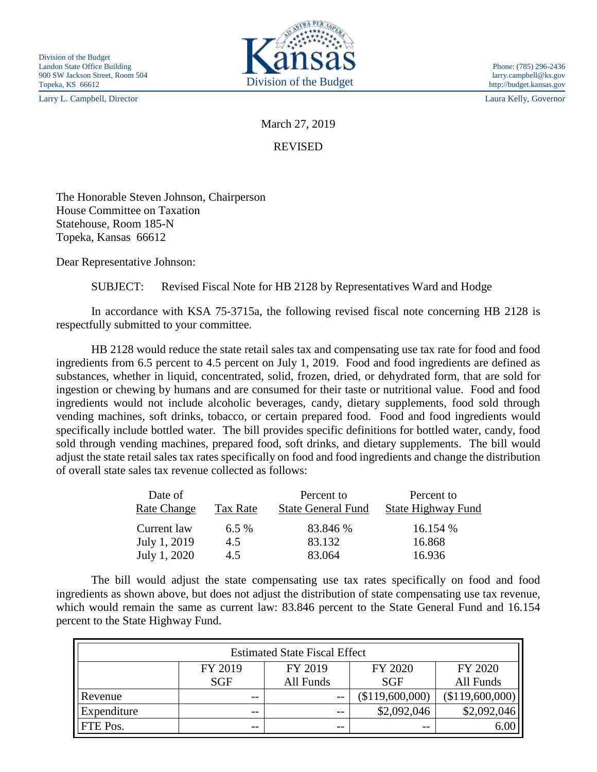Larry L. Campbell, Director Laura Kelly, Governor



March 27, 2019

REVISED

The Honorable Steven Johnson, Chairperson House Committee on Taxation Statehouse, Room 185-N Topeka, Kansas 66612

Dear Representative Johnson:

SUBJECT: Revised Fiscal Note for HB 2128 by Representatives Ward and Hodge

In accordance with KSA 75-3715a, the following revised fiscal note concerning HB 2128 is respectfully submitted to your committee.

HB 2128 would reduce the state retail sales tax and compensating use tax rate for food and food ingredients from 6.5 percent to 4.5 percent on July 1, 2019. Food and food ingredients are defined as substances, whether in liquid, concentrated, solid, frozen, dried, or dehydrated form, that are sold for ingestion or chewing by humans and are consumed for their taste or nutritional value. Food and food ingredients would not include alcoholic beverages, candy, dietary supplements, food sold through vending machines, soft drinks, tobacco, or certain prepared food. Food and food ingredients would specifically include bottled water. The bill provides specific definitions for bottled water, candy, food sold through vending machines, prepared food, soft drinks, and dietary supplements. The bill would adjust the state retail sales tax rates specifically on food and food ingredients and change the distribution of overall state sales tax revenue collected as follows:

| Date of<br><b>Rate Change</b> | Tax Rate | Percent to<br><b>State General Fund</b> | Percent to<br><b>State Highway Fund</b> |
|-------------------------------|----------|-----------------------------------------|-----------------------------------------|
| Current law                   | $6.5\%$  | 83.846 %                                | 16.154 %                                |
| July 1, 2019                  | 4.5      | 83.132                                  | 16.868                                  |
| July 1, 2020                  | 4.5      | 83.064                                  | 16.936                                  |

The bill would adjust the state compensating use tax rates specifically on food and food ingredients as shown above, but does not adjust the distribution of state compensating use tax revenue, which would remain the same as current law: 83.846 percent to the State General Fund and 16.154 percent to the State Highway Fund.

| <b>Estimated State Fiscal Effect</b> |         |           |                 |                 |  |  |
|--------------------------------------|---------|-----------|-----------------|-----------------|--|--|
|                                      | FY 2019 | FY 2019   | FY 2020         | FY 2020         |  |  |
|                                      | SGF     | All Funds | <b>SGF</b>      | All Funds       |  |  |
| Revenue                              | $- -$   | $ -$      | (\$119,600,000) | (\$119,600,000) |  |  |
| Expenditure                          | $- -$   | $- -$     | \$2,092,046     | \$2,092,046     |  |  |
| FTE Pos.                             | $- -$   | $- -$     | $- -$           | 6.00            |  |  |